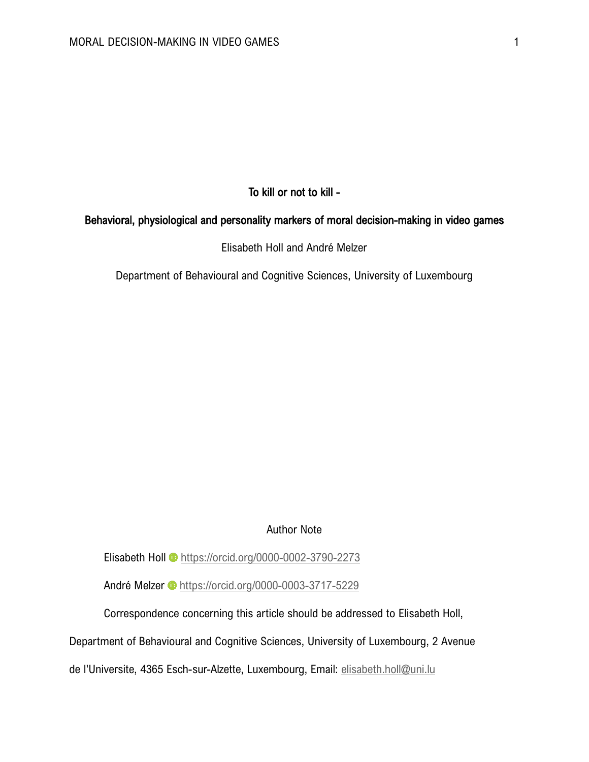# To kill or not to kill -

# Behavioral, physiological and personality markers of moral decision-making in video games

Elisabeth Holl and André Melzer

Department of Behavioural and Cognitive Sciences, University of Luxembourg

## Author Note

Elisabeth Holl @ <https://orcid.org/0000-0002-3790-2273>

AndréMelzer <sup>D</sup> <https://orcid.org/0000-0003-3717-5229>

Correspondence concerning this article should be addressed to Elisabeth Holl,

Department of Behavioural and Cognitive Sciences, University of Luxembourg, 2 Avenue

de l'Universite, 4365 Esch-sur-Alzette, Luxembourg, Email: [elisabeth.holl@uni.lu](mailto:elisabeth.holl@uni.lu)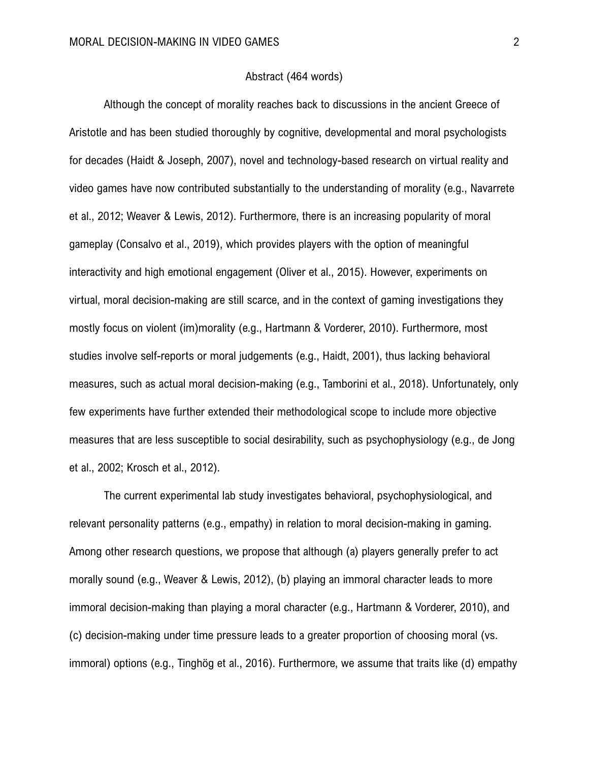#### Abstract (464 words)

Although the concept of morality reaches back to discussions in the ancient Greece of Aristotle and has been studied thoroughly by cognitive, developmental and moral psychologists for decades (Haidt & Joseph, 2007), novel and technology-based research on virtual reality and video games have now contributed substantially to the understanding of morality (e.g., Navarrete et al., 2012; Weaver & Lewis, 2012). Furthermore, there is an increasing popularity of moral gameplay (Consalvo et al., 2019), which provides players with the option of meaningful interactivity and high emotional engagement (Oliver et al., 2015). However, experiments on virtual, moral decision-making are still scarce, and in the context of gaming investigations they mostly focus on violent (im)morality (e.g., Hartmann & Vorderer, 2010). Furthermore, most studies involve self-reports or moral judgements (e.g., Haidt, 2001), thus lacking behavioral measures, such as actual moral decision-making (e.g., Tamborini et al., 2018). Unfortunately, only few experiments have further extended their methodological scope to include more objective measures that are less susceptible to social desirability, such as psychophysiology (e.g., de Jong et al., 2002; Krosch et al., 2012).

The current experimental lab study investigates behavioral, psychophysiological, and relevant personality patterns (e.g., empathy) in relation to moral decision-making in gaming. Among other research questions, we propose that although (a) players generally prefer to act morally sound (e.g., Weaver & Lewis, 2012), (b) playing an immoral character leads to more immoral decision-making than playing a moral character (e.g., Hartmann & Vorderer, 2010), and (c) decision-making under time pressure leads to a greater proportion of choosing moral (vs. immoral) options (e.g., Tinghög et al., 2016). Furthermore, we assume that traits like (d) empathy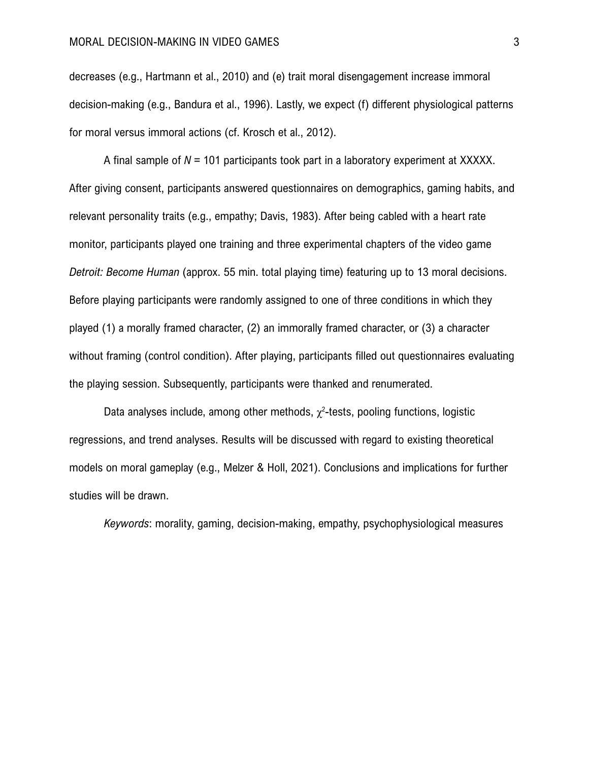### MORAL DECISION-MAKING IN VIDEO GAMES 3

decreases (e.g., Hartmann et al., 2010) and (e) trait moral disengagement increase immoral decision-making (e.g., Bandura et al., 1996). Lastly, we expect (f) different physiological patterns for moral versus immoral actions (cf. Krosch et al., 2012).

A final sample of *N* = 101 participants took part in a laboratory experiment at XXXXX. After giving consent, participants answered questionnaires on demographics, gaming habits, and relevant personality traits (e.g., empathy; Davis, 1983). After being cabled with a heart rate monitor, participants played one training and three experimental chapters of the video game *Detroit: Become Human* (approx. 55 min. total playing time) featuring up to 13 moral decisions. Before playing participants were randomly assigned to one of three conditions in which they played (1) a morally framed character, (2) an immorally framed character, or (3) a character without framing (control condition). After playing, participants filled out questionnaires evaluating the playing session. Subsequently, participants were thanked and renumerated.

Data analyses include, among other methods,  $\chi^2$ -tests, pooling functions, logistic regressions, and trend analyses. Results will be discussed with regard to existing theoretical models on moral gameplay (e.g., Melzer & Holl, 2021). Conclusions and implications for further studies will be drawn.

*Keywords*: morality, gaming, decision-making, empathy, psychophysiological measures